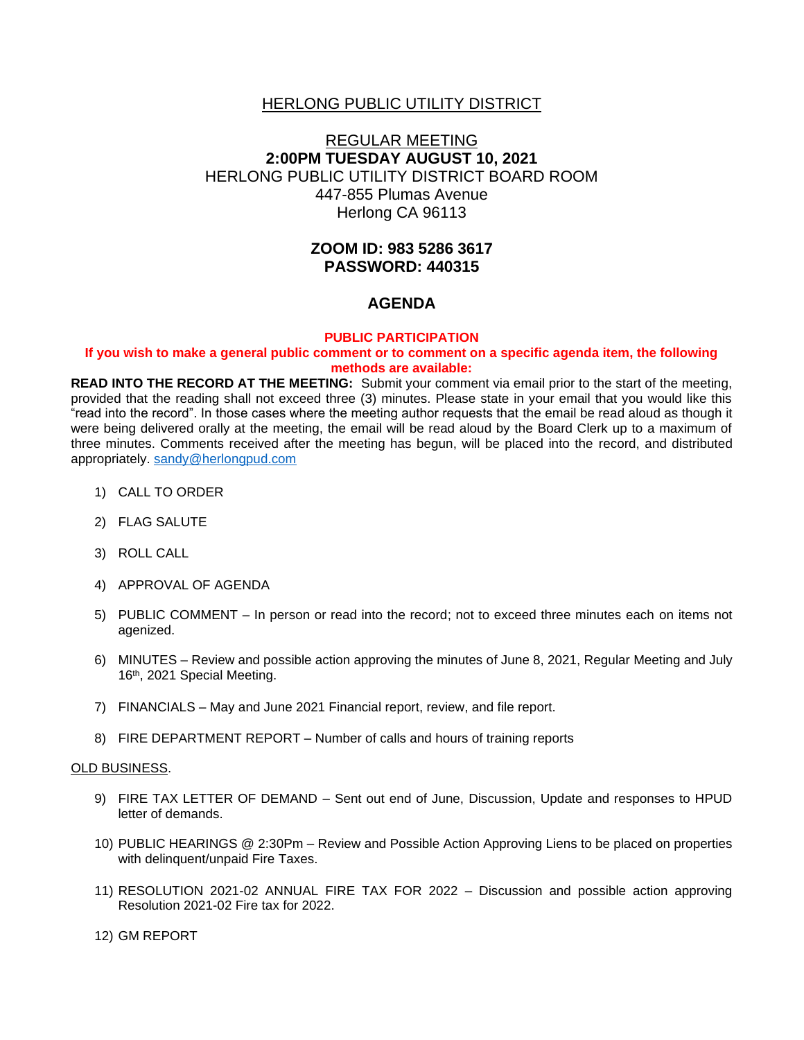### HERLONG PUBLIC UTILITY DISTRICT

# REGULAR MEETING **2:00PM TUESDAY AUGUST 10, 2021** HERLONG PUBLIC UTILITY DISTRICT BOARD ROOM 447-855 Plumas Avenue Herlong CA 96113

### **ZOOM ID: 983 5286 3617 PASSWORD: 440315**

### **AGENDA**

#### **PUBLIC PARTICIPATION**

#### **If you wish to make a general public comment or to comment on a specific agenda item, the following methods are available:**

**READ INTO THE RECORD AT THE MEETING:** Submit your comment via email prior to the start of the meeting, provided that the reading shall not exceed three (3) minutes. Please state in your email that you would like this "read into the record". In those cases where the meeting author requests that the email be read aloud as though it were being delivered orally at the meeting, the email will be read aloud by the Board Clerk up to a maximum of three minutes. Comments received after the meeting has begun, will be placed into the record, and distributed appropriately. [sandy@herlongpud.com](mailto:sandy@herlongpud.com)

- 1) CALL TO ORDER
- 2) FLAG SALUTE
- 3) ROLL CALL
- 4) APPROVAL OF AGENDA
- 5) PUBLIC COMMENT In person or read into the record; not to exceed three minutes each on items not agenized.
- 6) MINUTES Review and possible action approving the minutes of June 8, 2021, Regular Meeting and July 16th, 2021 Special Meeting.
- 7) FINANCIALS May and June 2021 Financial report, review, and file report.
- 8) FIRE DEPARTMENT REPORT Number of calls and hours of training reports

#### OLD BUSINESS.

- 9) FIRE TAX LETTER OF DEMAND Sent out end of June, Discussion, Update and responses to HPUD letter of demands.
- 10) PUBLIC HEARINGS @ 2:30Pm Review and Possible Action Approving Liens to be placed on properties with delinquent/unpaid Fire Taxes.
- 11) RESOLUTION 2021-02 ANNUAL FIRE TAX FOR 2022 Discussion and possible action approving Resolution 2021-02 Fire tax for 2022.
- 12) GM REPORT